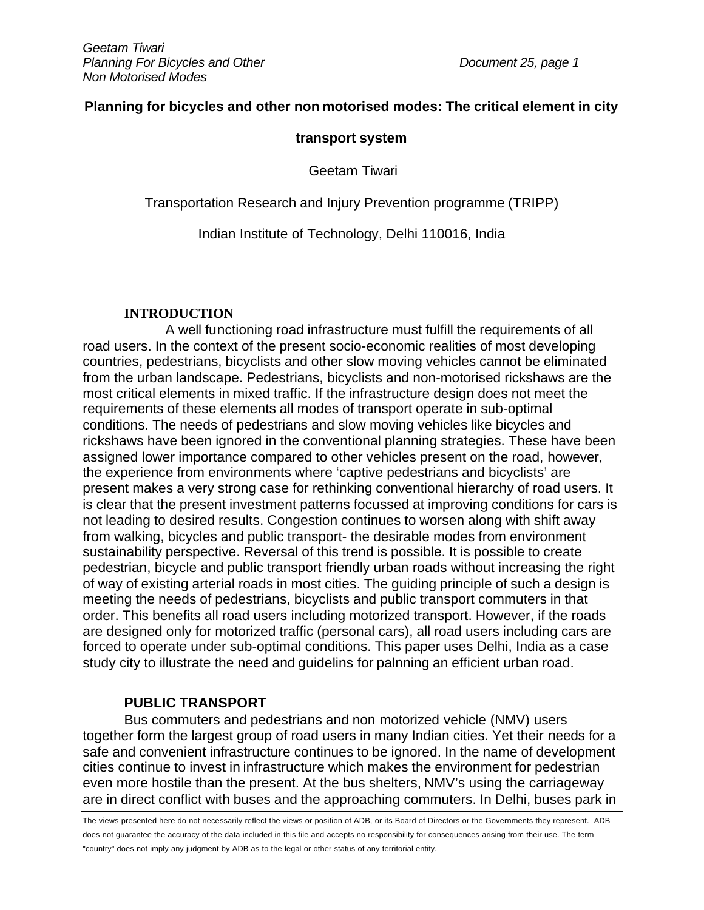## **Planning for bicycles and other non motorised modes: The critical element in city**

### **transport system**

Geetam Tiwari

Transportation Research and Injury Prevention programme (TRIPP)

Indian Institute of Technology, Delhi 110016, India

### **INTRODUCTION**

A well functioning road infrastructure must fulfill the requirements of all road users. In the context of the present socio-economic realities of most developing countries, pedestrians, bicyclists and other slow moving vehicles cannot be eliminated from the urban landscape. Pedestrians, bicyclists and non-motorised rickshaws are the most critical elements in mixed traffic. If the infrastructure design does not meet the requirements of these elements all modes of transport operate in sub-optimal conditions. The needs of pedestrians and slow moving vehicles like bicycles and rickshaws have been ignored in the conventional planning strategies. These have been assigned lower importance compared to other vehicles present on the road, however, the experience from environments where 'captive pedestrians and bicyclists' are present makes a very strong case for rethinking conventional hierarchy of road users. It is clear that the present investment patterns focussed at improving conditions for cars is not leading to desired results. Congestion continues to worsen along with shift away from walking, bicycles and public transport- the desirable modes from environment sustainability perspective. Reversal of this trend is possible. It is possible to create pedestrian, bicycle and public transport friendly urban roads without increasing the right of way of existing arterial roads in most cities. The guiding principle of such a design is meeting the needs of pedestrians, bicyclists and public transport commuters in that order. This benefits all road users including motorized transport. However, if the roads are designed only for motorized traffic (personal cars), all road users including cars are forced to operate under sub-optimal conditions. This paper uses Delhi, India as a case study city to illustrate the need and guidelins for palnning an efficient urban road.

### **PUBLIC TRANSPORT**

Bus commuters and pedestrians and non motorized vehicle (NMV) users together form the largest group of road users in many Indian cities. Yet their needs for a safe and convenient infrastructure continues to be ignored. In the name of development cities continue to invest in infrastructure which makes the environment for pedestrian even more hostile than the present. At the bus shelters, NMV's using the carriageway are in direct conflict with buses and the approaching commuters. In Delhi, buses park in

The views presented here do not necessarily reflect the views or position of ADB, or its Board of Directors or the Governments they represent. ADB does not guarantee the accuracy of the data included in this file and accepts no responsibility for consequences arising from their use. The term "country" does not imply any judgment by ADB as to the legal or other status of any territorial entity.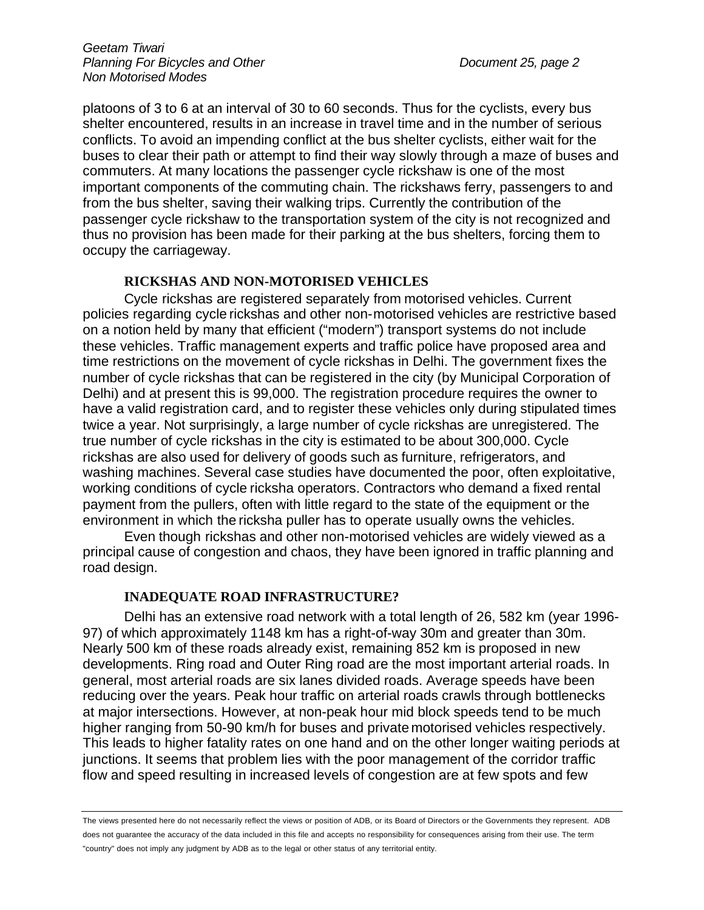platoons of 3 to 6 at an interval of 30 to 60 seconds. Thus for the cyclists, every bus shelter encountered, results in an increase in travel time and in the number of serious conflicts. To avoid an impending conflict at the bus shelter cyclists, either wait for the buses to clear their path or attempt to find their way slowly through a maze of buses and commuters. At many locations the passenger cycle rickshaw is one of the most important components of the commuting chain. The rickshaws ferry, passengers to and from the bus shelter, saving their walking trips. Currently the contribution of the passenger cycle rickshaw to the transportation system of the city is not recognized and thus no provision has been made for their parking at the bus shelters, forcing them to occupy the carriageway.

## **RICKSHAS AND NON-MOTORISED VEHICLES**

Cycle rickshas are registered separately from motorised vehicles. Current policies regarding cycle rickshas and other non-motorised vehicles are restrictive based on a notion held by many that efficient ("modern") transport systems do not include these vehicles. Traffic management experts and traffic police have proposed area and time restrictions on the movement of cycle rickshas in Delhi. The government fixes the number of cycle rickshas that can be registered in the city (by Municipal Corporation of Delhi) and at present this is 99,000. The registration procedure requires the owner to have a valid registration card, and to register these vehicles only during stipulated times twice a year. Not surprisingly, a large number of cycle rickshas are unregistered. The true number of cycle rickshas in the city is estimated to be about 300,000. Cycle rickshas are also used for delivery of goods such as furniture, refrigerators, and washing machines. Several case studies have documented the poor, often exploitative, working conditions of cycle ricksha operators. Contractors who demand a fixed rental payment from the pullers, often with little regard to the state of the equipment or the environment in which the ricksha puller has to operate usually owns the vehicles.

Even though rickshas and other non-motorised vehicles are widely viewed as a principal cause of congestion and chaos, they have been ignored in traffic planning and road design.

### **INADEQUATE ROAD INFRASTRUCTURE?**

Delhi has an extensive road network with a total length of 26, 582 km (year 1996- 97) of which approximately 1148 km has a right-of-way 30m and greater than 30m. Nearly 500 km of these roads already exist, remaining 852 km is proposed in new developments. Ring road and Outer Ring road are the most important arterial roads. In general, most arterial roads are six lanes divided roads. Average speeds have been reducing over the years. Peak hour traffic on arterial roads crawls through bottlenecks at major intersections. However, at non-peak hour mid block speeds tend to be much higher ranging from 50-90 km/h for buses and private motorised vehicles respectively. This leads to higher fatality rates on one hand and on the other longer waiting periods at junctions. It seems that problem lies with the poor management of the corridor traffic flow and speed resulting in increased levels of congestion are at few spots and few

The views presented here do not necessarily reflect the views or position of ADB, or its Board of Directors or the Governments they represent. ADB does not guarantee the accuracy of the data included in this file and accepts no responsibility for consequences arising from their use. The term "country" does not imply any judgment by ADB as to the legal or other status of any territorial entity.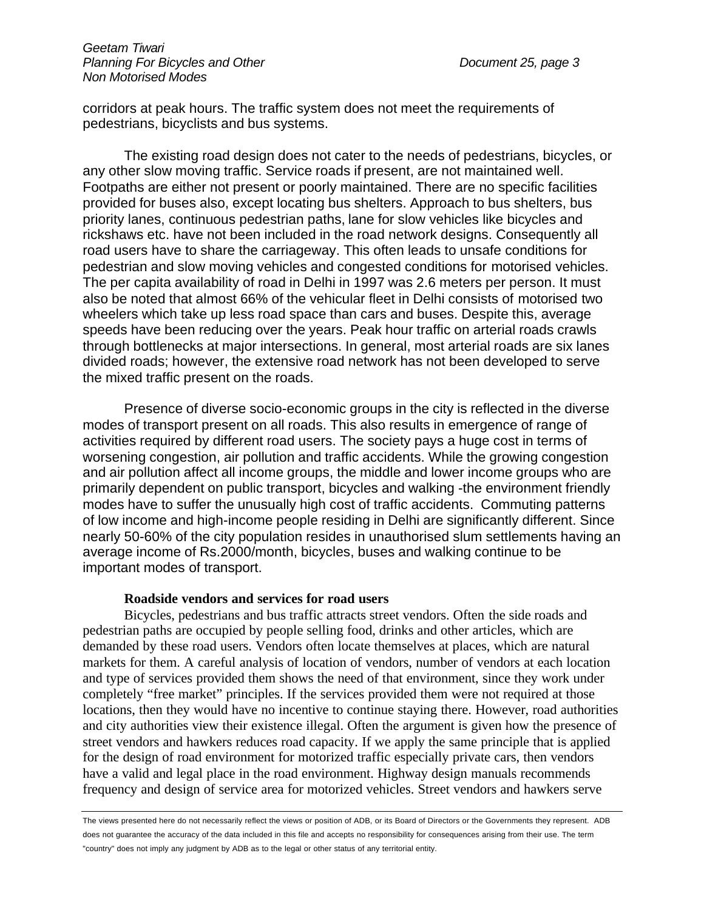corridors at peak hours. The traffic system does not meet the requirements of pedestrians, bicyclists and bus systems.

The existing road design does not cater to the needs of pedestrians, bicycles, or any other slow moving traffic. Service roads if present, are not maintained well. Footpaths are either not present or poorly maintained. There are no specific facilities provided for buses also, except locating bus shelters. Approach to bus shelters, bus priority lanes, continuous pedestrian paths, lane for slow vehicles like bicycles and rickshaws etc. have not been included in the road network designs. Consequently all road users have to share the carriageway. This often leads to unsafe conditions for pedestrian and slow moving vehicles and congested conditions for motorised vehicles. The per capita availability of road in Delhi in 1997 was 2.6 meters per person. It must also be noted that almost 66% of the vehicular fleet in Delhi consists of motorised two wheelers which take up less road space than cars and buses. Despite this, average speeds have been reducing over the years. Peak hour traffic on arterial roads crawls through bottlenecks at major intersections. In general, most arterial roads are six lanes divided roads; however, the extensive road network has not been developed to serve the mixed traffic present on the roads.

Presence of diverse socio-economic groups in the city is reflected in the diverse modes of transport present on all roads. This also results in emergence of range of activities required by different road users. The society pays a huge cost in terms of worsening congestion, air pollution and traffic accidents. While the growing congestion and air pollution affect all income groups, the middle and lower income groups who are primarily dependent on public transport, bicycles and walking -the environment friendly modes have to suffer the unusually high cost of traffic accidents. Commuting patterns of low income and high-income people residing in Delhi are significantly different. Since nearly 50-60% of the city population resides in unauthorised slum settlements having an average income of Rs.2000/month, bicycles, buses and walking continue to be important modes of transport.

### **Roadside vendors and services for road users**

Bicycles, pedestrians and bus traffic attracts street vendors. Often the side roads and pedestrian paths are occupied by people selling food, drinks and other articles, which are demanded by these road users. Vendors often locate themselves at places, which are natural markets for them. A careful analysis of location of vendors, number of vendors at each location and type of services provided them shows the need of that environment, since they work under completely "free market" principles. If the services provided them were not required at those locations, then they would have no incentive to continue staying there. However, road authorities and city authorities view their existence illegal. Often the argument is given how the presence of street vendors and hawkers reduces road capacity. If we apply the same principle that is applied for the design of road environment for motorized traffic especially private cars, then vendors have a valid and legal place in the road environment. Highway design manuals recommends frequency and design of service area for motorized vehicles. Street vendors and hawkers serve

The views presented here do not necessarily reflect the views or position of ADB, or its Board of Directors or the Governments they represent. ADB does not guarantee the accuracy of the data included in this file and accepts no responsibility for consequences arising from their use. The term "country" does not imply any judgment by ADB as to the legal or other status of any territorial entity.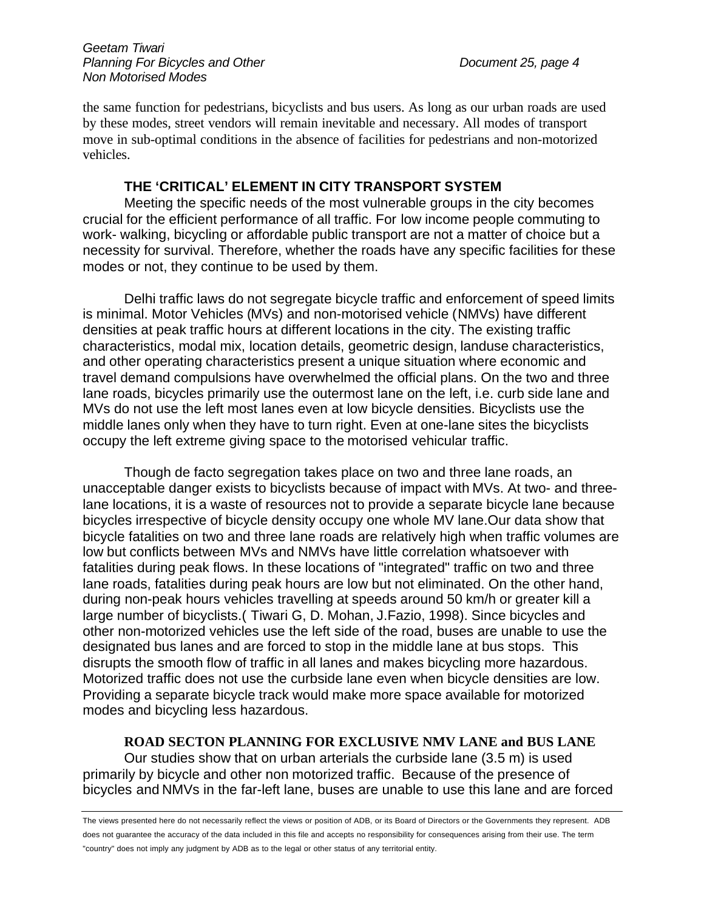the same function for pedestrians, bicyclists and bus users. As long as our urban roads are used by these modes, street vendors will remain inevitable and necessary. All modes of transport move in sub-optimal conditions in the absence of facilities for pedestrians and non-motorized vehicles.

## **THE 'CRITICAL' ELEMENT IN CITY TRANSPORT SYSTEM**

Meeting the specific needs of the most vulnerable groups in the city becomes crucial for the efficient performance of all traffic. For low income people commuting to work- walking, bicycling or affordable public transport are not a matter of choice but a necessity for survival. Therefore, whether the roads have any specific facilities for these modes or not, they continue to be used by them.

Delhi traffic laws do not segregate bicycle traffic and enforcement of speed limits is minimal. Motor Vehicles (MVs) and non-motorised vehicle (NMVs) have different densities at peak traffic hours at different locations in the city. The existing traffic characteristics, modal mix, location details, geometric design, landuse characteristics, and other operating characteristics present a unique situation where economic and travel demand compulsions have overwhelmed the official plans. On the two and three lane roads, bicycles primarily use the outermost lane on the left, i.e. curb side lane and MVs do not use the left most lanes even at low bicycle densities. Bicyclists use the middle lanes only when they have to turn right. Even at one-lane sites the bicyclists occupy the left extreme giving space to the motorised vehicular traffic.

Though de facto segregation takes place on two and three lane roads, an unacceptable danger exists to bicyclists because of impact with MVs. At two- and threelane locations, it is a waste of resources not to provide a separate bicycle lane because bicycles irrespective of bicycle density occupy one whole MV lane.Our data show that bicycle fatalities on two and three lane roads are relatively high when traffic volumes are low but conflicts between MVs and NMVs have little correlation whatsoever with fatalities during peak flows. In these locations of "integrated" traffic on two and three lane roads, fatalities during peak hours are low but not eliminated. On the other hand, during non-peak hours vehicles travelling at speeds around 50 km/h or greater kill a large number of bicyclists.( Tiwari G, D. Mohan, J.Fazio, 1998). Since bicycles and other non-motorized vehicles use the left side of the road, buses are unable to use the designated bus lanes and are forced to stop in the middle lane at bus stops. This disrupts the smooth flow of traffic in all lanes and makes bicycling more hazardous. Motorized traffic does not use the curbside lane even when bicycle densities are low. Providing a separate bicycle track would make more space available for motorized modes and bicycling less hazardous.

### **ROAD SECTON PLANNING FOR EXCLUSIVE NMV LANE and BUS LANE**

Our studies show that on urban arterials the curbside lane (3.5 m) is used primarily by bicycle and other non motorized traffic. Because of the presence of bicycles and NMVs in the far-left lane, buses are unable to use this lane and are forced

The views presented here do not necessarily reflect the views or position of ADB, or its Board of Directors or the Governments they represent. ADB does not guarantee the accuracy of the data included in this file and accepts no responsibility for consequences arising from their use. The term "country" does not imply any judgment by ADB as to the legal or other status of any territorial entity.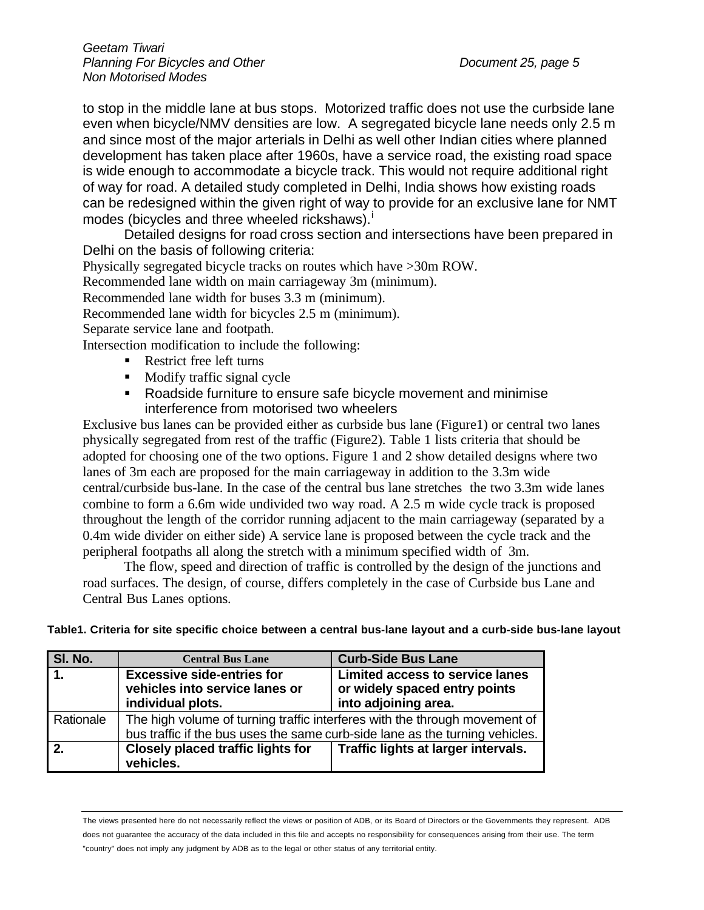to stop in the middle lane at bus stops. Motorized traffic does not use the curbside lane even when bicycle/NMV densities are low. A segregated bicycle lane needs only 2.5 m and since most of the major arterials in Delhi as well other Indian cities where planned development has taken place after 1960s, have a service road, the existing road space is wide enough to accommodate a bicycle track. This would not require additional right of way for road. A detailed study completed in Delhi, India shows how existing roads can be redesigned within the given right of way to provide for an exclusive lane for NMT modes (bicycles and three wheeled rickshaws).<sup>1</sup>

Detailed designs for road cross section and intersections have been prepared in Delhi on the basis of following criteria:

Physically segregated bicycle tracks on routes which have >30m ROW.

Recommended lane width on main carriageway 3m (minimum).

Recommended lane width for buses 3.3 m (minimum).

Recommended lane width for bicycles 2.5 m (minimum).

Separate service lane and footpath.

Intersection modification to include the following:

- Restrict free left turns
- $\blacksquare$  Modify traffic signal cycle
- Roadside furniture to ensure safe bicycle movement and minimise interference from motorised two wheelers

Exclusive bus lanes can be provided either as curbside bus lane (Figure1) or central two lanes physically segregated from rest of the traffic (Figure2). Table 1 lists criteria that should be adopted for choosing one of the two options. Figure 1 and 2 show detailed designs where two lanes of 3m each are proposed for the main carriageway in addition to the 3.3m wide central/curbside bus-lane. In the case of the central bus lane stretches the two 3.3m wide lanes combine to form a 6.6m wide undivided two way road. A 2.5 m wide cycle track is proposed throughout the length of the corridor running adjacent to the main carriageway (separated by a 0.4m wide divider on either side) A service lane is proposed between the cycle track and the peripheral footpaths all along the stretch with a minimum specified width of 3m.

The flow, speed and direction of traffic is controlled by the design of the junctions and road surfaces. The design, of course, differs completely in the case of Curbside bus Lane and Central Bus Lanes options.

**Table1. Criteria for site specific choice between a central bus-lane layout and a curb-side bus-lane layout**

| SI. No.   | <b>Central Bus Lane</b>                                                                                                                                    | <b>Curb-Side Bus Lane</b>                                                                       |  |  |
|-----------|------------------------------------------------------------------------------------------------------------------------------------------------------------|-------------------------------------------------------------------------------------------------|--|--|
|           | <b>Excessive side-entries for</b><br>vehicles into service lanes or<br>individual plots.                                                                   | <b>Limited access to service lanes</b><br>or widely spaced entry points<br>into adjoining area. |  |  |
| Rationale | The high volume of turning traffic interferes with the through movement of<br>bus traffic if the bus uses the same curb-side lane as the turning vehicles. |                                                                                                 |  |  |
| 2.        | Closely placed traffic lights for<br>vehicles.                                                                                                             | Traffic lights at larger intervals.                                                             |  |  |

The views presented here do not necessarily reflect the views or position of ADB, or its Board of Directors or the Governments they represent. ADB does not guarantee the accuracy of the data included in this file and accepts no responsibility for consequences arising from their use. The term "country" does not imply any judgment by ADB as to the legal or other status of any territorial entity.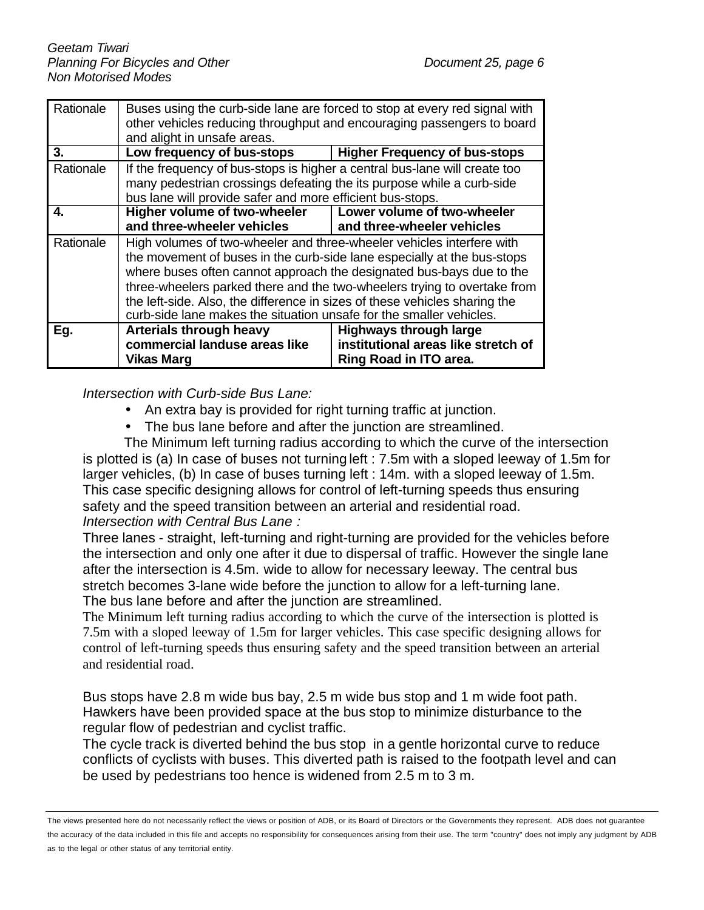| Rationale | Buses using the curb-side lane are forced to stop at every red signal with<br>other vehicles reducing throughput and encouraging passengers to board<br>and alight in unsafe areas.                                                                                                                                                                                                                                                                       |                                     |  |  |  |
|-----------|-----------------------------------------------------------------------------------------------------------------------------------------------------------------------------------------------------------------------------------------------------------------------------------------------------------------------------------------------------------------------------------------------------------------------------------------------------------|-------------------------------------|--|--|--|
| 3.        | Low frequency of bus-stops<br><b>Higher Frequency of bus-stops</b>                                                                                                                                                                                                                                                                                                                                                                                        |                                     |  |  |  |
| Rationale | If the frequency of bus-stops is higher a central bus-lane will create too<br>many pedestrian crossings defeating the its purpose while a curb-side<br>bus lane will provide safer and more efficient bus-stops.                                                                                                                                                                                                                                          |                                     |  |  |  |
| 4.        | Higher volume of two-wheeler                                                                                                                                                                                                                                                                                                                                                                                                                              | Lower volume of two-wheeler         |  |  |  |
|           | and three-wheeler vehicles                                                                                                                                                                                                                                                                                                                                                                                                                                | and three-wheeler vehicles          |  |  |  |
| Rationale | High volumes of two-wheeler and three-wheeler vehicles interfere with<br>the movement of buses in the curb-side lane especially at the bus-stops<br>where buses often cannot approach the designated bus-bays due to the<br>three-wheelers parked there and the two-wheelers trying to overtake from<br>the left-side. Also, the difference in sizes of these vehicles sharing the<br>curb-side lane makes the situation unsafe for the smaller vehicles. |                                     |  |  |  |
| Eg.       | <b>Arterials through heavy</b>                                                                                                                                                                                                                                                                                                                                                                                                                            | <b>Highways through large</b>       |  |  |  |
|           | commercial landuse areas like                                                                                                                                                                                                                                                                                                                                                                                                                             | institutional areas like stretch of |  |  |  |
|           | Ring Road in ITO area.<br><b>Vikas Marg</b>                                                                                                                                                                                                                                                                                                                                                                                                               |                                     |  |  |  |

*Intersection with Curb-side Bus Lane:*

- An extra bay is provided for right turning traffic at junction.
- The bus lane before and after the junction are streamlined.

The Minimum left turning radius according to which the curve of the intersection is plotted is (a) In case of buses not turning left : 7.5m with a sloped leeway of 1.5m for larger vehicles, (b) In case of buses turning left : 14m. with a sloped leeway of 1.5m. This case specific designing allows for control of left-turning speeds thus ensuring safety and the speed transition between an arterial and residential road. *Intersection with Central Bus Lane :*

Three lanes - straight, left-turning and right-turning are provided for the vehicles before the intersection and only one after it due to dispersal of traffic. However the single lane after the intersection is 4.5m. wide to allow for necessary leeway. The central bus stretch becomes 3-lane wide before the junction to allow for a left-turning lane. The bus lane before and after the junction are streamlined.

The Minimum left turning radius according to which the curve of the intersection is plotted is 7.5m with a sloped leeway of 1.5m for larger vehicles. This case specific designing allows for control of left-turning speeds thus ensuring safety and the speed transition between an arterial and residential road.

Bus stops have 2.8 m wide bus bay, 2.5 m wide bus stop and 1 m wide foot path. Hawkers have been provided space at the bus stop to minimize disturbance to the regular flow of pedestrian and cyclist traffic.

The cycle track is diverted behind the bus stop in a gentle horizontal curve to reduce conflicts of cyclists with buses. This diverted path is raised to the footpath level and can be used by pedestrians too hence is widened from 2.5 m to 3 m.

The views presented here do not necessarily reflect the views or position of ADB, or its Board of Directors or the Governments they represent. ADB does not guarantee the accuracy of the data included in this file and accepts no responsibility for consequences arising from their use. The term "country" does not imply any judgment by ADB as to the legal or other status of any territorial entity.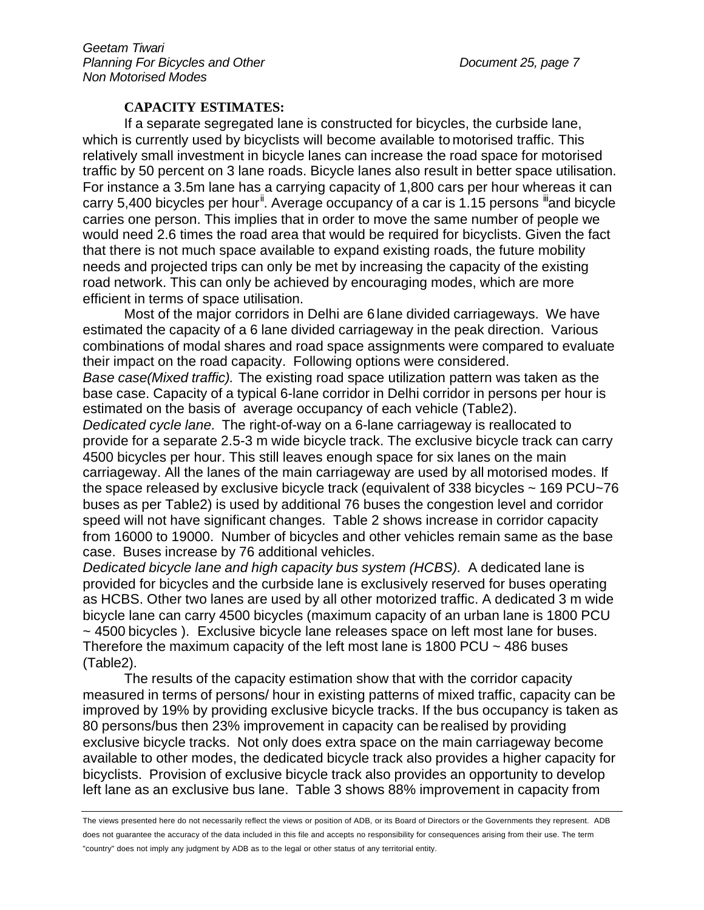### **CAPACITY ESTIMATES:**

If a separate segregated lane is constructed for bicycles, the curbside lane, which is currently used by bicyclists will become available to motorised traffic. This relatively small investment in bicycle lanes can increase the road space for motorised traffic by 50 percent on 3 lane roads. Bicycle lanes also result in better space utilisation. For instance a 3.5m lane has a carrying capacity of 1,800 cars per hour whereas it can carry 5,400 bicycles per hour<sup>ii</sup>. Average occupancy of a car is 1.15 persons <sup>iij</sup>and bicycle carries one person. This implies that in order to move the same number of people we would need 2.6 times the road area that would be required for bicyclists. Given the fact that there is not much space available to expand existing roads, the future mobility needs and projected trips can only be met by increasing the capacity of the existing road network. This can only be achieved by encouraging modes, which are more efficient in terms of space utilisation.

Most of the major corridors in Delhi are 6 lane divided carriageways. We have estimated the capacity of a 6 lane divided carriageway in the peak direction. Various combinations of modal shares and road space assignments were compared to evaluate their impact on the road capacity. Following options were considered.

*Base case(Mixed traffic).* The existing road space utilization pattern was taken as the base case. Capacity of a typical 6-lane corridor in Delhi corridor in persons per hour is estimated on the basis of average occupancy of each vehicle (Table2).

*Dedicated cycle lane.* The right-of-way on a 6-lane carriageway is reallocated to provide for a separate 2.5-3 m wide bicycle track. The exclusive bicycle track can carry 4500 bicycles per hour. This still leaves enough space for six lanes on the main carriageway. All the lanes of the main carriageway are used by all motorised modes. If the space released by exclusive bicycle track (equivalent of 338 bicycles  $\sim$  169 PCU $\sim$ 76 buses as per Table2) is used by additional 76 buses the congestion level and corridor speed will not have significant changes. Table 2 shows increase in corridor capacity from 16000 to 19000. Number of bicycles and other vehicles remain same as the base case. Buses increase by 76 additional vehicles.

*Dedicated bicycle lane and high capacity bus system (HCBS).* A dedicated lane is provided for bicycles and the curbside lane is exclusively reserved for buses operating as HCBS. Other two lanes are used by all other motorized traffic. A dedicated 3 m wide bicycle lane can carry 4500 bicycles (maximum capacity of an urban lane is 1800 PCU ~ 4500 bicycles ). Exclusive bicycle lane releases space on left most lane for buses. Therefore the maximum capacity of the left most lane is 1800 PCU  $\sim$  486 buses (Table2).

The results of the capacity estimation show that with the corridor capacity measured in terms of persons/ hour in existing patterns of mixed traffic, capacity can be improved by 19% by providing exclusive bicycle tracks. If the bus occupancy is taken as 80 persons/bus then 23% improvement in capacity can be realised by providing exclusive bicycle tracks. Not only does extra space on the main carriageway become available to other modes, the dedicated bicycle track also provides a higher capacity for bicyclists. Provision of exclusive bicycle track also provides an opportunity to develop left lane as an exclusive bus lane. Table 3 shows 88% improvement in capacity from

The views presented here do not necessarily reflect the views or position of ADB, or its Board of Directors or the Governments they represent. ADB does not guarantee the accuracy of the data included in this file and accepts no responsibility for consequences arising from their use. The term "country" does not imply any judgment by ADB as to the legal or other status of any territorial entity.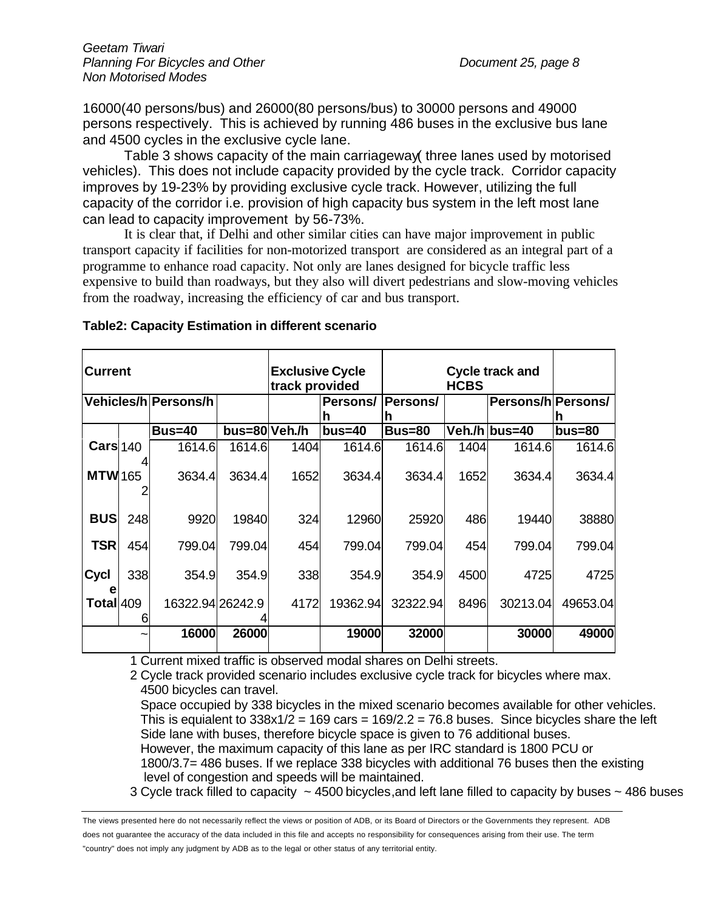16000(40 persons/bus) and 26000(80 persons/bus) to 30000 persons and 49000 persons respectively. This is achieved by running 486 buses in the exclusive bus lane and 4500 cycles in the exclusive cycle lane.

Table 3 shows capacity of the main carriageway( three lanes used by motorised vehicles). This does not include capacity provided by the cycle track. Corridor capacity improves by 19-23% by providing exclusive cycle track. However, utilizing the full capacity of the corridor i.e. provision of high capacity bus system in the left most lane can lead to capacity improvement by 56-73%.

It is clear that, if Delhi and other similar cities can have major improvement in public transport capacity if facilities for non-motorized transport are considered as an integral part of a programme to enhance road capacity. Not only are lanes designed for bicycle traffic less expensive to build than roadways, but they also will divert pedestrians and slow-moving vehicles from the roadway, increasing the efficiency of car and bus transport.

| <b>Current</b>    |     |                      | <b>Exclusive Cycle</b><br>track provided |      | <b>Cycle track and</b><br><b>HCBS</b> |                    |      |                    |                 |
|-------------------|-----|----------------------|------------------------------------------|------|---------------------------------------|--------------------|------|--------------------|-----------------|
|                   |     | Vehicles/h Persons/h |                                          |      | Persons/                              | Persons/           |      | Persons/h Persons/ |                 |
|                   |     | $Bus=40$             | bus=80 Veh./h                            |      | $bus = 40$                            | h<br><b>Bus=80</b> |      | Veh./h bus=40      | n<br>$bus = 80$ |
| $\text{Cars}$ 140 |     | 1614.6               | 1614.6                                   | 1404 | 1614.6                                | 1614.6             | 1404 | 1614.6             | 1614.6          |
| <b>MTW</b> 165    |     | 3634.4               | 3634.4                                   | 1652 | 3634.4                                | 3634.4             | 1652 | 3634.4             | 3634.4          |
| <b>BUS</b>        | 248 | 9920                 | 19840                                    | 324  | 12960                                 | 25920              | 486  | 19440              | 38880           |
| <b>TSR</b>        | 454 | 799.04               | 799.04                                   | 454  | 799.04                                | 799.04             | 454  | 799.04             | 799.04          |
| Cyc <br>е         | 338 | 354.9                | 354.9                                    | 338  | 354.9                                 | 354.9              | 4500 | 4725               | 4725            |
| Total 409         | 6   | 16322.94 26242.9     |                                          | 4172 | 19362.94                              | 32322.94           | 8496 | 30213.04           | 49653.04        |
|                   | ∼   | 16000                | 26000                                    |      | 19000                                 | 32000              |      | 30000              | 49000           |

#### **Table2: Capacity Estimation in different scenario**

1 Current mixed traffic is observed modal shares on Delhi streets.

2 Cycle track provided scenario includes exclusive cycle track for bicycles where max. 4500 bicycles can travel.

Space occupied by 338 bicycles in the mixed scenario becomes available for other vehicles. This is equialent to  $338x1/2 = 169 \text{ cars} = 169/2.2 = 76.8 \text{ buses}$ . Since bicycles share the left Side lane with buses, therefore bicycle space is given to 76 additional buses.

However, the maximum capacity of this lane as per IRC standard is 1800 PCU or 1800/3.7= 486 buses. If we replace 338 bicycles with additional 76 buses then the existing level of congestion and speeds will be maintained.

3 Cycle track filled to capacity  $\sim$  4500 bicycles, and left lane filled to capacity by buses  $\sim$  486 buses

The views presented here do not necessarily reflect the views or position of ADB, or its Board of Directors or the Governments they represent. ADB does not guarantee the accuracy of the data included in this file and accepts no responsibility for consequences arising from their use. The term "country" does not imply any judgment by ADB as to the legal or other status of any territorial entity.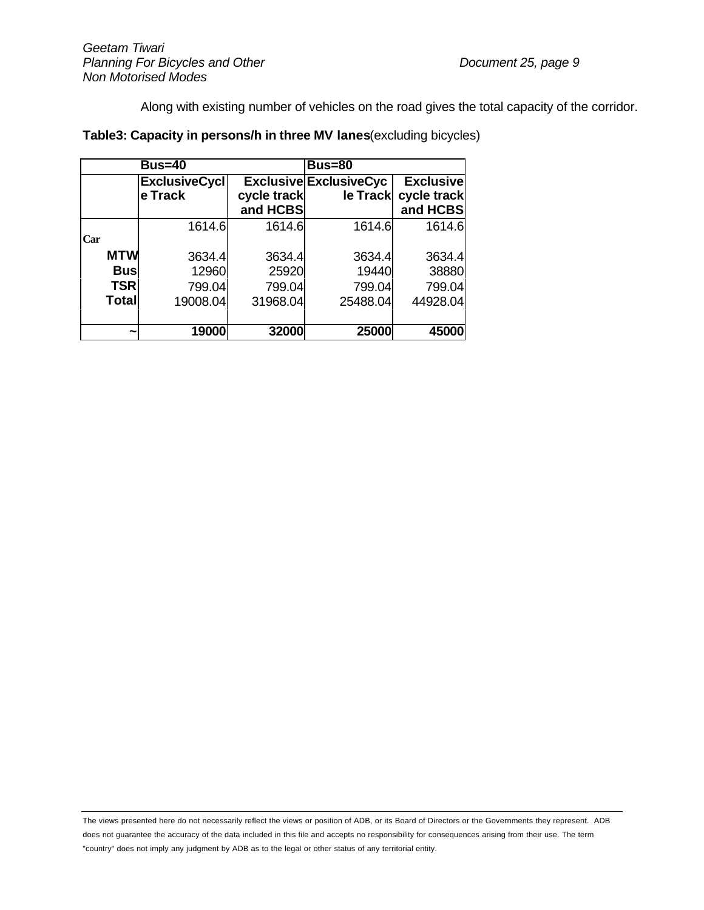Along with existing number of vehicles on the road gives the total capacity of the corridor.

|              | $Bus=40$                        |                         |                                           |                                             |
|--------------|---------------------------------|-------------------------|-------------------------------------------|---------------------------------------------|
|              | <b>ExclusiveCycl</b><br>e Track | cycle track<br>and HCBS | <b>Exclusive ExclusiveCyc</b><br>le Track | <b>Exclusive</b><br>cycle track<br>and HCBS |
| Car          | 1614.6                          | 1614.6                  | 1614.6                                    | 1614.6                                      |
| <b>MTW</b>   | 3634.4                          | 3634.4                  | 3634.4                                    | 3634.4                                      |
| <b>Bus</b>   | 12960                           | 25920                   | 19440                                     | 38880                                       |
| <b>TSR</b>   | 799.04                          | 799.04                  | 799.04                                    | 799.04                                      |
| <b>Total</b> | 19008.04                        | 31968.04                | 25488.04                                  | 44928.04                                    |
| $\tilde{}$   | 19000                           | 32000                   | 25000                                     | 45000                                       |

**Table3: Capacity in persons/h in three MV lanes**(excluding bicycles)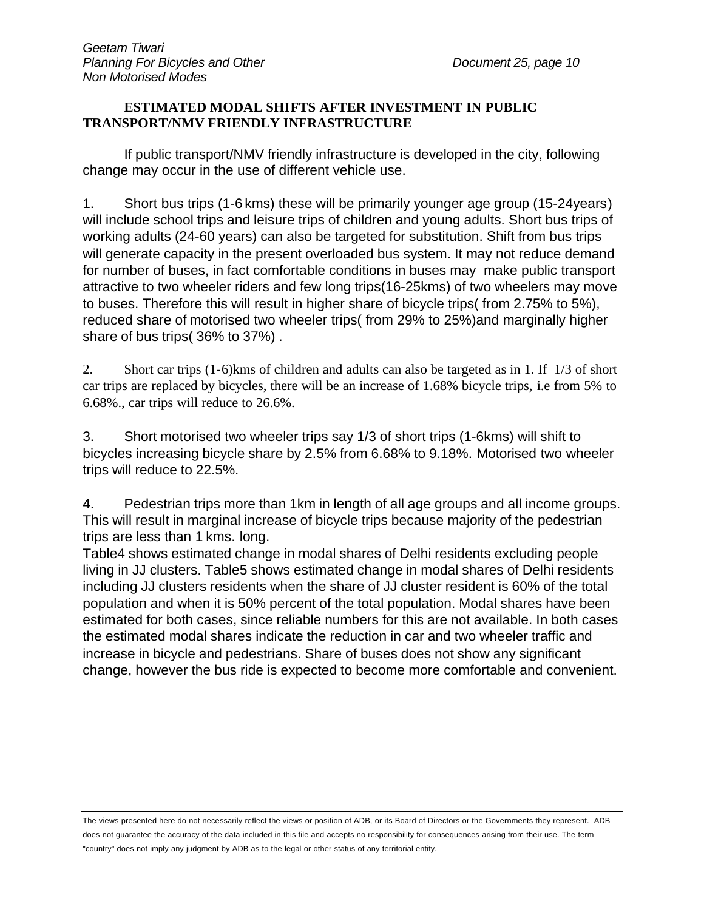## **ESTIMATED MODAL SHIFTS AFTER INVESTMENT IN PUBLIC TRANSPORT/NMV FRIENDLY INFRASTRUCTURE**

If public transport/NMV friendly infrastructure is developed in the city, following change may occur in the use of different vehicle use.

1. Short bus trips (1-6 kms) these will be primarily younger age group (15-24years) will include school trips and leisure trips of children and young adults. Short bus trips of working adults (24-60 years) can also be targeted for substitution. Shift from bus trips will generate capacity in the present overloaded bus system. It may not reduce demand for number of buses, in fact comfortable conditions in buses may make public transport attractive to two wheeler riders and few long trips(16-25kms) of two wheelers may move to buses. Therefore this will result in higher share of bicycle trips( from 2.75% to 5%), reduced share of motorised two wheeler trips( from 29% to 25%)and marginally higher share of bus trips( 36% to 37%) .

2. Short car trips (1-6)kms of children and adults can also be targeted as in 1. If 1/3 of short car trips are replaced by bicycles, there will be an increase of 1.68% bicycle trips, i.e from 5% to 6.68%., car trips will reduce to 26.6%.

3. Short motorised two wheeler trips say 1/3 of short trips (1-6kms) will shift to bicycles increasing bicycle share by 2.5% from 6.68% to 9.18%. Motorised two wheeler trips will reduce to 22.5%.

4. Pedestrian trips more than 1km in length of all age groups and all income groups. This will result in marginal increase of bicycle trips because majority of the pedestrian trips are less than 1 kms. long.

Table4 shows estimated change in modal shares of Delhi residents excluding people living in JJ clusters. Table5 shows estimated change in modal shares of Delhi residents including JJ clusters residents when the share of JJ cluster resident is 60% of the total population and when it is 50% percent of the total population. Modal shares have been estimated for both cases, since reliable numbers for this are not available. In both cases the estimated modal shares indicate the reduction in car and two wheeler traffic and increase in bicycle and pedestrians. Share of buses does not show any significant change, however the bus ride is expected to become more comfortable and convenient.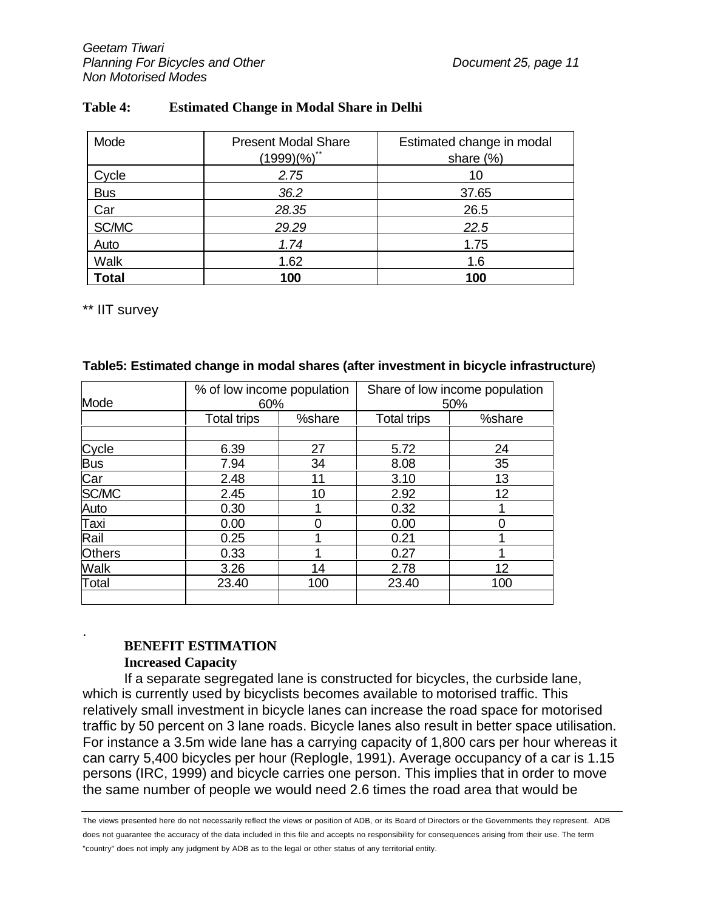| Mode         | <b>Present Modal Share</b><br>$(1999)(\%)^{\ast\ast}$ | Estimated change in modal<br>share $(\%)$ |
|--------------|-------------------------------------------------------|-------------------------------------------|
| Cycle        | 2.75                                                  | 10                                        |
| <b>Bus</b>   | 36.2                                                  | 37.65                                     |
| Car          | 28.35                                                 | 26.5                                      |
| SC/MC        | 29.29                                                 | 22.5                                      |
| Auto         | 1.74                                                  | 1.75                                      |
| <b>Walk</b>  | 1.62                                                  | 1.6                                       |
| <b>Total</b> | 100                                                   | 100                                       |

### **Table 4: Estimated Change in Modal Share in Delhi**

\*\* IIT survey

.

|               | % of low income population |        | Share of low income population |        |  |
|---------------|----------------------------|--------|--------------------------------|--------|--|
| Mode          | 60%                        |        | 50%                            |        |  |
|               | <b>Total trips</b>         | %share | <b>Total trips</b>             | %share |  |
|               |                            |        |                                |        |  |
| Cycle         | 6.39                       | 27     | 5.72                           | 24     |  |
| <b>Bus</b>    | 7.94                       | 34     | 8.08                           | 35     |  |
| Car           | 2.48                       | 11     | 3.10                           | 13     |  |
| SC/MC         | 2.45                       | 10     | 2.92                           | 12     |  |
| Auto          | 0.30                       |        | 0.32                           |        |  |
| Taxi          | 0.00                       |        | 0.00                           |        |  |
| Rail          | 0.25                       |        | 0.21                           |        |  |
| <b>Others</b> | 0.33                       |        | 0.27                           | 4      |  |
| <b>Walk</b>   | 3.26                       | 14     | 2.78                           | 12     |  |
| Total         | 23.40                      | 100    | 23.40                          | 100    |  |
|               |                            |        |                                |        |  |

#### **Table5: Estimated change in modal shares (after investment in bicycle infrastructure**)

### **BENEFIT ESTIMATION Increased Capacity**

If a separate segregated lane is constructed for bicycles, the curbside lane, which is currently used by bicyclists becomes available to motorised traffic. This relatively small investment in bicycle lanes can increase the road space for motorised traffic by 50 percent on 3 lane roads. Bicycle lanes also result in better space utilisation. For instance a 3.5m wide lane has a carrying capacity of 1,800 cars per hour whereas it can carry 5,400 bicycles per hour (Replogle, 1991). Average occupancy of a car is 1.15 persons (IRC, 1999) and bicycle carries one person. This implies that in order to move the same number of people we would need 2.6 times the road area that would be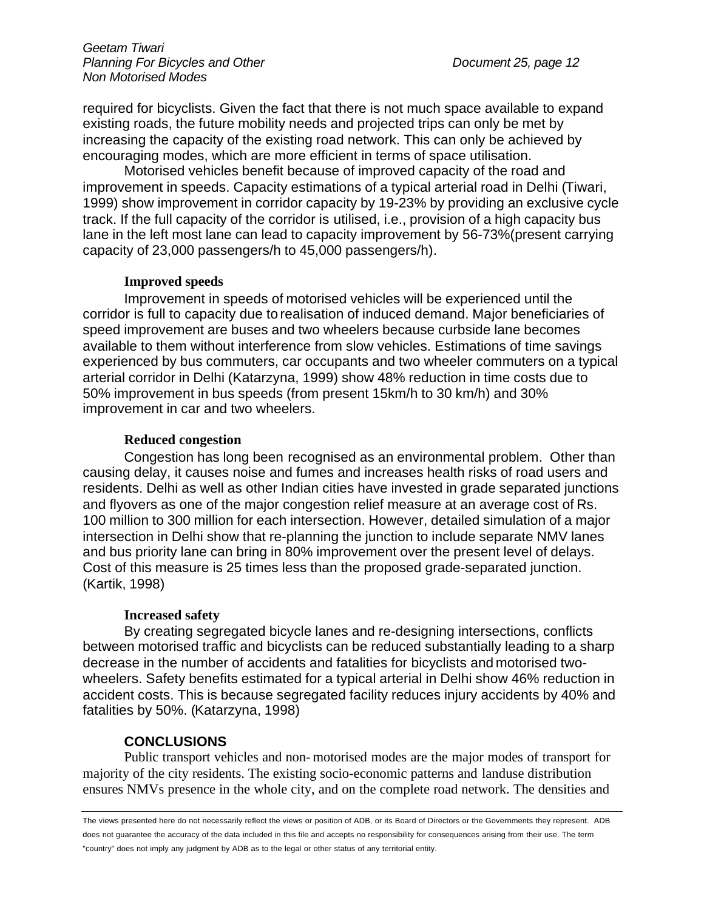required for bicyclists. Given the fact that there is not much space available to expand existing roads, the future mobility needs and projected trips can only be met by increasing the capacity of the existing road network. This can only be achieved by encouraging modes, which are more efficient in terms of space utilisation.

Motorised vehicles benefit because of improved capacity of the road and improvement in speeds. Capacity estimations of a typical arterial road in Delhi (Tiwari, 1999) show improvement in corridor capacity by 19-23% by providing an exclusive cycle track. If the full capacity of the corridor is utilised, i.e., provision of a high capacity bus lane in the left most lane can lead to capacity improvement by 56-73%(present carrying capacity of 23,000 passengers/h to 45,000 passengers/h).

### **Improved speeds**

Improvement in speeds of motorised vehicles will be experienced until the corridor is full to capacity due to realisation of induced demand. Major beneficiaries of speed improvement are buses and two wheelers because curbside lane becomes available to them without interference from slow vehicles. Estimations of time savings experienced by bus commuters, car occupants and two wheeler commuters on a typical arterial corridor in Delhi (Katarzyna, 1999) show 48% reduction in time costs due to 50% improvement in bus speeds (from present 15km/h to 30 km/h) and 30% improvement in car and two wheelers.

## **Reduced congestion**

Congestion has long been recognised as an environmental problem. Other than causing delay, it causes noise and fumes and increases health risks of road users and residents. Delhi as well as other Indian cities have invested in grade separated junctions and flyovers as one of the major congestion relief measure at an average cost of Rs. 100 million to 300 million for each intersection. However, detailed simulation of a major intersection in Delhi show that re-planning the junction to include separate NMV lanes and bus priority lane can bring in 80% improvement over the present level of delays. Cost of this measure is 25 times less than the proposed grade-separated junction. (Kartik, 1998)

### **Increased safety**

By creating segregated bicycle lanes and re-designing intersections, conflicts between motorised traffic and bicyclists can be reduced substantially leading to a sharp decrease in the number of accidents and fatalities for bicyclists and motorised twowheelers. Safety benefits estimated for a typical arterial in Delhi show 46% reduction in accident costs. This is because segregated facility reduces injury accidents by 40% and fatalities by 50%. (Katarzyna, 1998)

# **CONCLUSIONS**

Public transport vehicles and non- motorised modes are the major modes of transport for majority of the city residents. The existing socio-economic patterns and landuse distribution ensures NMVs presence in the whole city, and on the complete road network. The densities and

The views presented here do not necessarily reflect the views or position of ADB, or its Board of Directors or the Governments they represent. ADB does not guarantee the accuracy of the data included in this file and accepts no responsibility for consequences arising from their use. The term "country" does not imply any judgment by ADB as to the legal or other status of any territorial entity.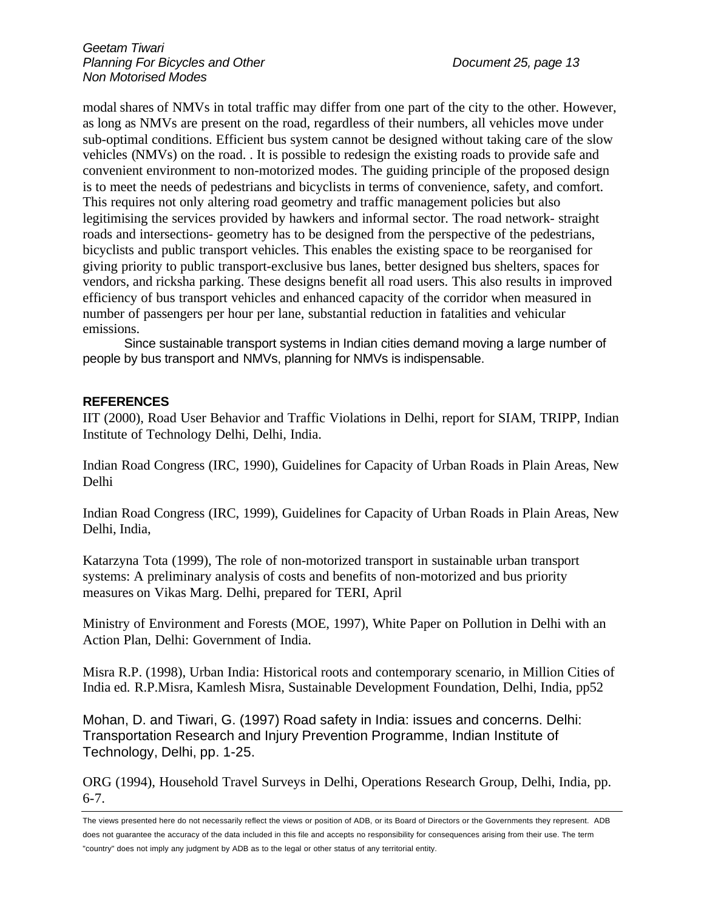modal shares of NMVs in total traffic may differ from one part of the city to the other. However, as long as NMVs are present on the road, regardless of their numbers, all vehicles move under sub-optimal conditions. Efficient bus system cannot be designed without taking care of the slow vehicles (NMVs) on the road. . It is possible to redesign the existing roads to provide safe and convenient environment to non-motorized modes. The guiding principle of the proposed design is to meet the needs of pedestrians and bicyclists in terms of convenience, safety, and comfort. This requires not only altering road geometry and traffic management policies but also legitimising the services provided by hawkers and informal sector. The road network- straight roads and intersections- geometry has to be designed from the perspective of the pedestrians, bicyclists and public transport vehicles. This enables the existing space to be reorganised for giving priority to public transport-exclusive bus lanes, better designed bus shelters, spaces for vendors, and ricksha parking. These designs benefit all road users. This also results in improved efficiency of bus transport vehicles and enhanced capacity of the corridor when measured in number of passengers per hour per lane, substantial reduction in fatalities and vehicular emissions.

Since sustainable transport systems in Indian cities demand moving a large number of people by bus transport and NMVs, planning for NMVs is indispensable.

### **REFERENCES**

IIT (2000), Road User Behavior and Traffic Violations in Delhi, report for SIAM, TRIPP, Indian Institute of Technology Delhi, Delhi, India.

Indian Road Congress (IRC, 1990), Guidelines for Capacity of Urban Roads in Plain Areas, New Delhi

Indian Road Congress (IRC, 1999), Guidelines for Capacity of Urban Roads in Plain Areas, New Delhi, India,

Katarzyna Tota (1999), The role of non-motorized transport in sustainable urban transport systems: A preliminary analysis of costs and benefits of non-motorized and bus priority measures on Vikas Marg. Delhi, prepared for TERI, April

Ministry of Environment and Forests (MOE, 1997), White Paper on Pollution in Delhi with an Action Plan, Delhi: Government of India.

Misra R.P. (1998), Urban India: Historical roots and contemporary scenario, in Million Cities of India ed. R.P.Misra, Kamlesh Misra, Sustainable Development Foundation, Delhi, India, pp52

Mohan, D. and Tiwari, G. (1997) Road safety in India: issues and concerns. Delhi: Transportation Research and Injury Prevention Programme, Indian Institute of Technology, Delhi, pp. 1-25.

ORG (1994), Household Travel Surveys in Delhi, Operations Research Group, Delhi, India, pp. 6-7.

The views presented here do not necessarily reflect the views or position of ADB, or its Board of Directors or the Governments they represent. ADB does not guarantee the accuracy of the data included in this file and accepts no responsibility for consequences arising from their use. The term "country" does not imply any judgment by ADB as to the legal or other status of any territorial entity.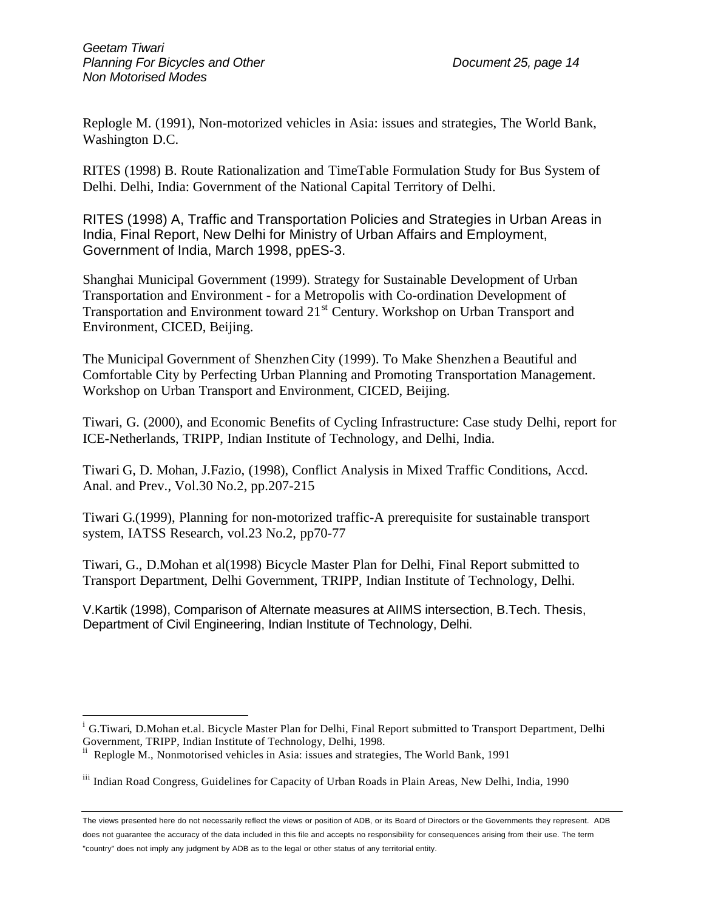Replogle M. (1991), Non-motorized vehicles in Asia: issues and strategies, The World Bank, Washington D.C.

RITES (1998) B. Route Rationalization and TimeTable Formulation Study for Bus System of Delhi. Delhi, India: Government of the National Capital Territory of Delhi.

RITES (1998) A, Traffic and Transportation Policies and Strategies in Urban Areas in India, Final Report, New Delhi for Ministry of Urban Affairs and Employment, Government of India, March 1998, ppES-3.

Shanghai Municipal Government (1999). Strategy for Sustainable Development of Urban Transportation and Environment - for a Metropolis with Co-ordination Development of Transportation and Environment toward 21<sup>st</sup> Century. Workshop on Urban Transport and Environment, CICED, Beijing.

The Municipal Government of Shenzhen City (1999). To Make Shenzhen a Beautiful and Comfortable City by Perfecting Urban Planning and Promoting Transportation Management. Workshop on Urban Transport and Environment, CICED, Beijing.

Tiwari, G. (2000), and Economic Benefits of Cycling Infrastructure: Case study Delhi, report for ICE-Netherlands, TRIPP, Indian Institute of Technology, and Delhi, India.

Tiwari G, D. Mohan, J.Fazio, (1998), Conflict Analysis in Mixed Traffic Conditions, Accd. Anal. and Prev., Vol.30 No.2, pp.207-215

Tiwari G.(1999), Planning for non-motorized traffic-A prerequisite for sustainable transport system, IATSS Research, vol.23 No.2, pp70-77

Tiwari, G., D.Mohan et al(1998) Bicycle Master Plan for Delhi, Final Report submitted to Transport Department, Delhi Government, TRIPP, Indian Institute of Technology, Delhi.

V.Kartik (1998), Comparison of Alternate measures at AIIMS intersection, B.Tech. Thesis, Department of Civil Engineering, Indian Institute of Technology, Delhi.

 $\ddot{\phantom{a}}$ 

<sup>&</sup>lt;sup>i</sup> G.Tiwari, D.Mohan et.al. Bicycle Master Plan for Delhi, Final Report submitted to Transport Department, Delhi Government, TRIPP, Indian Institute of Technology, Delhi, 1998.

ii Replogle M., Nonmotorised vehicles in Asia: issues and strategies, The World Bank, 1991

iii Indian Road Congress, Guidelines for Capacity of Urban Roads in Plain Areas, New Delhi, India, 1990

The views presented here do not necessarily reflect the views or position of ADB, or its Board of Directors or the Governments they represent. ADB does not guarantee the accuracy of the data included in this file and accepts no responsibility for consequences arising from their use. The term "country" does not imply any judgment by ADB as to the legal or other status of any territorial entity.